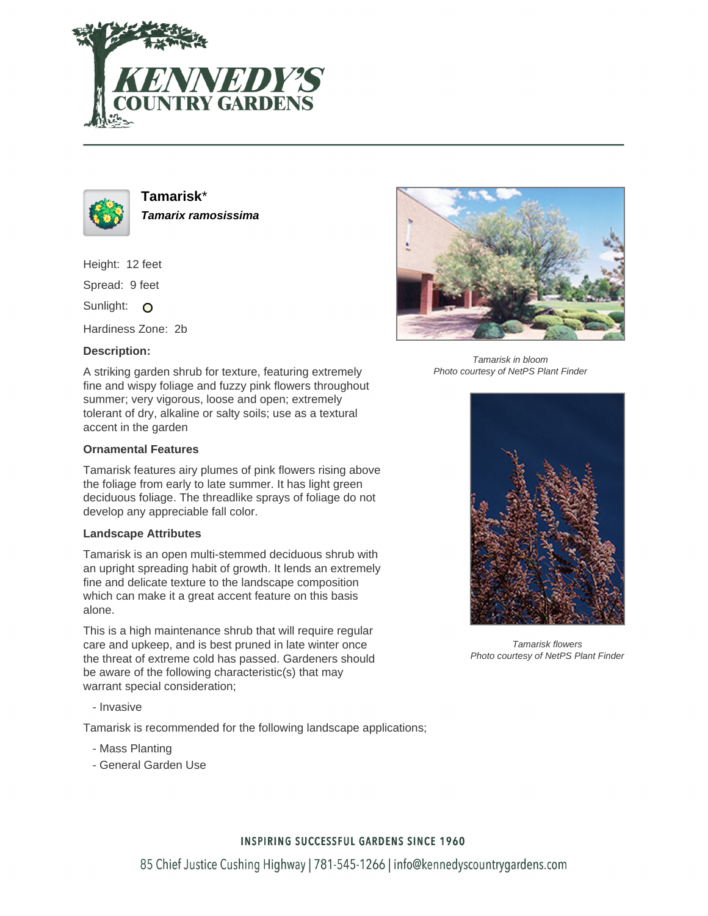



**Tamarisk**\* **Tamarix ramosissima**

Height: 12 feet

Spread: 9 feet

Sunlight: O

Hardiness Zone: 2b

### **Description:**

A striking garden shrub for texture, featuring extremely fine and wispy foliage and fuzzy pink flowers throughout summer; very vigorous, loose and open; extremely tolerant of dry, alkaline or salty soils; use as a textural accent in the garden

#### **Ornamental Features**

Tamarisk features airy plumes of pink flowers rising above the foliage from early to late summer. It has light green deciduous foliage. The threadlike sprays of foliage do not develop any appreciable fall color.

#### **Landscape Attributes**

Tamarisk is an open multi-stemmed deciduous shrub with an upright spreading habit of growth. It lends an extremely fine and delicate texture to the landscape composition which can make it a great accent feature on this basis alone.

This is a high maintenance shrub that will require regular care and upkeep, and is best pruned in late winter once the threat of extreme cold has passed. Gardeners should be aware of the following characteristic(s) that may warrant special consideration;

- Invasive

Tamarisk is recommended for the following landscape applications;

- Mass Planting
- General Garden Use



Tamarisk in bloom Photo courtesy of NetPS Plant Finder



Tamarisk flowers Photo courtesy of NetPS Plant Finder

## **INSPIRING SUCCESSFUL GARDENS SINCE 1960**

85 Chief Justice Cushing Highway | 781-545-1266 | info@kennedyscountrygardens.com